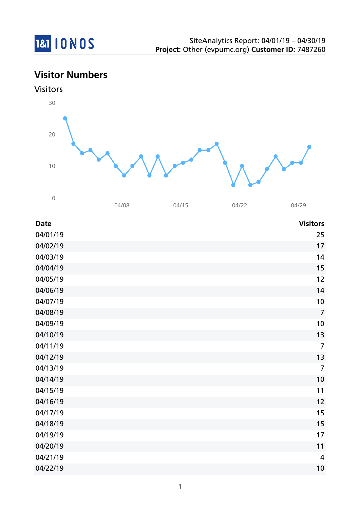

## **Visitor Numbers**



| <b>Date</b> | <b>Visitors</b> |
|-------------|-----------------|
| 04/01/19    | 25              |
| 04/02/19    | 17              |
| 04/03/19    | 14              |
| 04/04/19    | 15              |
| 04/05/19    | 12              |
| 04/06/19    | 14              |
| 04/07/19    | 10              |
| 04/08/19    | $\overline{7}$  |
| 04/09/19    | 10              |
| 04/10/19    | 13              |
| 04/11/19    | $\overline{7}$  |
| 04/12/19    | 13              |
| 04/13/19    | $\overline{7}$  |
| 04/14/19    | 10              |
| 04/15/19    | 11              |
| 04/16/19    | 12              |
| 04/17/19    | 15              |
| 04/18/19    | 15              |
| 04/19/19    | 17              |
| 04/20/19    | 11              |
| 04/21/19    | $\overline{4}$  |
| 04/22/19    | 10              |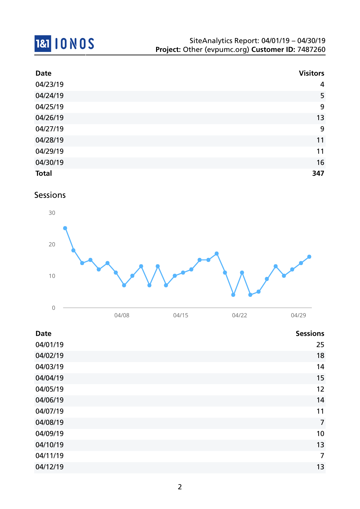# 181 10 NOS

| <b>Date</b>  | <b>Visitors</b> |
|--------------|-----------------|
| 04/23/19     | $\overline{4}$  |
| 04/24/19     | 5               |
| 04/25/19     | 9               |
| 04/26/19     | 13              |
| 04/27/19     | 9               |
| 04/28/19     | 11              |
| 04/29/19     | 11              |
| 04/30/19     | 16              |
| <b>Total</b> | 347             |

### Sessions



|                 | 04/08 | 04/15 | 04/22 | 04/29           |
|-----------------|-------|-------|-------|-----------------|
| <b>Date</b>     |       |       |       | <b>Sessions</b> |
| 04/01/19        |       |       |       | 25              |
| <b>01/07/10</b> |       |       |       | 1 <sub>Q</sub>  |

| 04/02/19 | 18             |
|----------|----------------|
| 04/03/19 | 14             |
| 04/04/19 | 15             |
| 04/05/19 | 12             |
| 04/06/19 | 14             |
| 04/07/19 | 11             |
| 04/08/19 | $\overline{7}$ |
| 04/09/19 | 10             |
| 04/10/19 | 13             |
| 04/11/19 | $\overline{7}$ |
| 04/12/19 | 13             |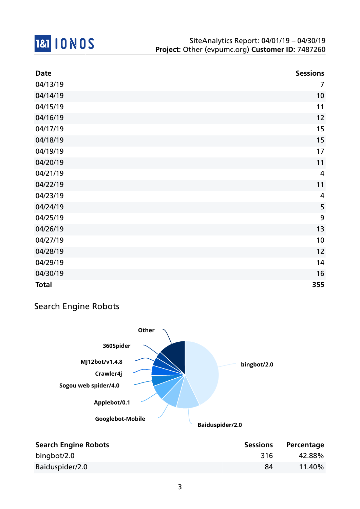

| <b>Date</b>  | <b>Sessions</b> |
|--------------|-----------------|
| 04/13/19     | $\overline{7}$  |
| 04/14/19     | 10              |
| 04/15/19     | 11              |
| 04/16/19     | 12              |
| 04/17/19     | 15              |
| 04/18/19     | 15              |
| 04/19/19     | 17              |
| 04/20/19     | 11              |
| 04/21/19     | $\overline{4}$  |
| 04/22/19     | 11              |
| 04/23/19     | 4               |
| 04/24/19     | 5               |
| 04/25/19     | 9               |
| 04/26/19     | 13              |
| 04/27/19     | 10              |
| 04/28/19     | 12              |
| 04/29/19     | 14              |
| 04/30/19     | 16              |
| <b>Total</b> | 355             |

## Search Engine Robots



| <b>Search Engine Robots</b> | <b>Sessions</b> | Percentage |
|-----------------------------|-----------------|------------|
| bingbot/2.0                 | 316             | 42.88%     |
| Baiduspider/2.0             | 84              | 11.40%     |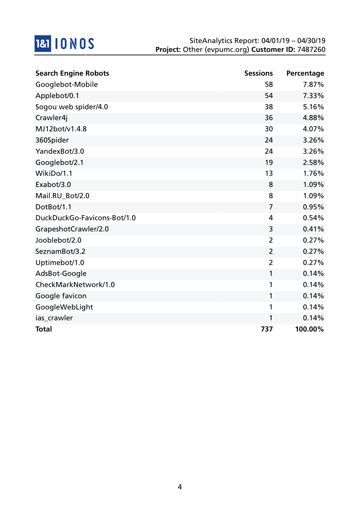

| <b>Search Engine Robots</b> | <b>Sessions</b> | Percentage |
|-----------------------------|-----------------|------------|
| Googlebot-Mobile            | 58              | 7.87%      |
| Applebot/0.1                | 54              | 7.33%      |
| Sogou web spider/4.0        | 38              | 5.16%      |
| Crawler4j                   | 36              | 4.88%      |
| MJ12bot/v1.4.8              | 30              | 4.07%      |
| 360Spider                   | 24              | 3.26%      |
| YandexBot/3.0               | 24              | 3.26%      |
| Googlebot/2.1               | 19              | 2.58%      |
| WikiDo/1.1                  | 13              | 1.76%      |
| Exabot/3.0                  | 8               | 1.09%      |
| Mail.RU Bot/2.0             | 8               | 1.09%      |
| DotBot/1.1                  | $\overline{7}$  | 0.95%      |
| DuckDuckGo-Favicons-Bot/1.0 | 4               | 0.54%      |
| GrapeshotCrawler/2.0        | 3               | 0.41%      |
| Jooblebot/2.0               | $\overline{2}$  | 0.27%      |
| SeznamBot/3.2               | $\overline{2}$  | 0.27%      |
| Uptimebot/1.0               | $\overline{2}$  | 0.27%      |
| AdsBot-Google               | 1               | 0.14%      |
| CheckMarkNetwork/1.0        | 1               | 0.14%      |
| Google favicon              | 1               | 0.14%      |
| GoogleWebLight              | 1               | 0.14%      |
| ias_crawler                 | 1               | 0.14%      |
| <b>Total</b>                | 737             | 100.00%    |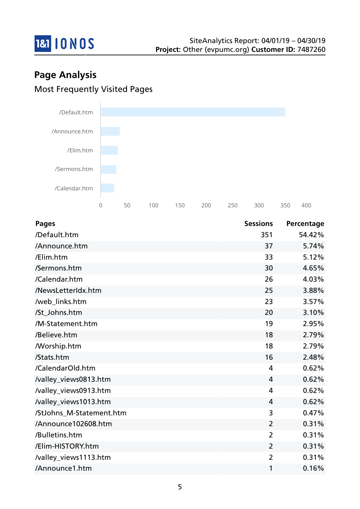

# **Page Analysis** Most Frequently Visited Pages



| <b>Pages</b>             | <b>Sessions</b> | Percentage |
|--------------------------|-----------------|------------|
| /Default.htm             | 351             | 54.42%     |
| /Announce.htm            | 37              | 5.74%      |
| /Elim.htm                | 33              | 5.12%      |
| /Sermons.htm             | 30              | 4.65%      |
| /Calendar.htm            | 26              | 4.03%      |
| /NewsLetterIdx.htm       | 25              | 3.88%      |
| /web_links.htm           | 23              | 3.57%      |
| /St_Johns.htm            | 20              | 3.10%      |
| /M-Statement.htm         | 19              | 2.95%      |
| /Believe.htm             | 18              | 2.79%      |
| <b>Morship.htm</b>       | 18              | 2.79%      |
| /Stats.htm               | 16              | 2.48%      |
| /CalendarOld.htm         | 4               | 0.62%      |
| /valley_views0813.htm    | $\overline{4}$  | 0.62%      |
| /valley_views0913.htm    | 4               | 0.62%      |
| /valley_views1013.htm    | $\overline{4}$  | 0.62%      |
| /StJohns_M-Statement.htm | 3               | 0.47%      |
| /Announce102608.htm      | $\overline{2}$  | 0.31%      |
| /Bulletins.htm           | $\overline{2}$  | 0.31%      |
| /Elim-HISTORY.htm        | $\overline{2}$  | 0.31%      |
| /valley_views1113.htm    | $\overline{2}$  | 0.31%      |
| /Announce1.htm           | 1               | 0.16%      |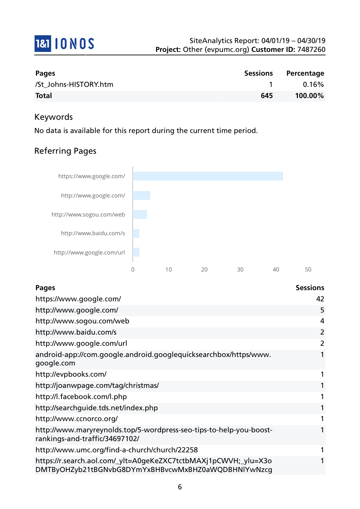

| <b>Pages</b>          | <b>Sessions</b> | Percentage |
|-----------------------|-----------------|------------|
| /St Johns-HISTORY.htm |                 | $0.16\%$   |
| <b>Total</b>          | 645             | 100.00%    |

#### Keywords

No data is available for this report during the current time period.

## Referring Pages



| <b>Pages</b>                                                                                                           | <b>Sessions</b> |
|------------------------------------------------------------------------------------------------------------------------|-----------------|
| https://www.google.com/                                                                                                | 42              |
| http://www.google.com/                                                                                                 | 5               |
| http://www.sogou.com/web                                                                                               | 4               |
| http://www.baidu.com/s                                                                                                 | $\overline{2}$  |
| http://www.google.com/url                                                                                              | $\overline{2}$  |
| android-app://com.google.android.googlequicksearchbox/https/www.<br>google.com                                         |                 |
| http://evpbooks.com/                                                                                                   |                 |
| http://joanwpage.com/tag/christmas/                                                                                    |                 |
| http://l.facebook.com/l.php                                                                                            |                 |
| http://searchguide.tds.net/index.php                                                                                   | $\mathbf{1}$    |
| http://www.ccnorco.org/                                                                                                |                 |
| http://www.maryreynolds.top/5-wordpress-seo-tips-to-help-you-boost-<br>rankings-and-traffic/34697102/                  |                 |
| http://www.umc.org/find-a-church/church/22258                                                                          |                 |
| https://r.search.aol.com/_ylt=A0geKeZXC7tctbMAXj1pCWVH;_ylu=X3o<br>DMTByOHZyb21tBGNvbG8DYmYxBHBvcwMxBHZ0aWQDBHNlYwNzcg |                 |
|                                                                                                                        |                 |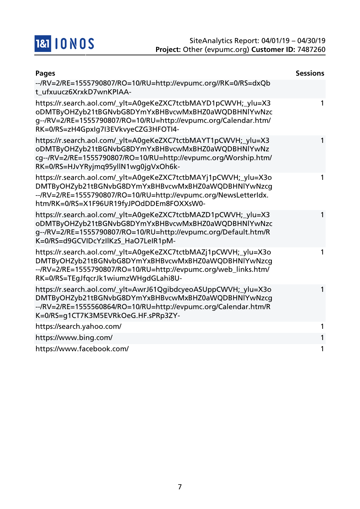

| <b>Pages</b>                                                                                                                                                                                                                          | <b>Sessions</b> |
|---------------------------------------------------------------------------------------------------------------------------------------------------------------------------------------------------------------------------------------|-----------------|
| --/RV=2/RE=1555790807/RO=10/RU=http://evpumc.org//RK=0/RS=dxQb<br>t ufxuucz6XrxkD7wnKPIAA-                                                                                                                                            |                 |
| https://r.search.aol.com/_ylt=A0geKeZXC7tctbMAYD1pCWVH;_ylu=X3<br>oDMTByOHZyb21tBGNvbG8DYmYxBHBvcwMxBHZ0aWQDBHNlYwNzc<br>g--/RV=2/RE=1555790807/RO=10/RU=http://evpumc.org/Calendar.htm/<br>RK=0/RS=zH4GpxIq7I3EVkvyeCZG3HFOTI4-      | 1               |
| https://r.search.aol.com/_ylt=A0geKeZXC7tctbMAYT1pCWVH;_ylu=X3<br>oDMTByOHZyb21tBGNvbG8DYmYxBHBvcwMxBHZ0aWQDBHNlYwNz<br>cg--/RV=2/RE=1555790807/RO=10/RU=http://evpumc.org/Worship.htm/<br>RK=0/RS=HJvYRyjmq95yllN1wq0jqVxOh6k-       | 1               |
| https://r.search.aol.com/_ylt=A0geKeZXC7tctbMAYj1pCWVH;_ylu=X3o<br>DMTByOHZyb21tBGNvbG8DYmYxBHBvcwMxBHZ0aWQDBHNlYwNzcg<br>--/RV=2/RE=1555790807/RO=10/RU=http://evpumc.org/NewsLetterIdx.<br>htm/RK=0/RS=X1F96UR19fyJPOdDDEm8FOXXsW0- |                 |
| https://r.search.aol.com/_ylt=A0geKeZXC7tctbMAZD1pCWVH;_ylu=X3<br>oDMTByOHZyb21tBGNvbG8DYmYxBHBvcwMxBHZ0aWQDBHNlYwNzc<br>g--/RV=2/RE=1555790807/RO=10/RU=http://evpumc.org/Default.htm/R<br>K=0/RS=d9GCVIDcYzIlKzS_HaO7LeIR1pM-       |                 |
| https://r.search.aol.com/_ylt=A0geKeZXC7tctbMAZj1pCWVH;_ylu=X3o<br>DMTByOHZyb21tBGNvbG8DYmYxBHBvcwMxBHZ0aWQDBHNlYwNzcg<br>--/RV=2/RE=1555790807/RO=10/RU=http://evpumc.org/web_links.htm/<br>RK=0/RS=TEgJfqcrJk1wiumzWHgdGLahi8U-     |                 |
| https://r.search.aol.com/_ylt=AwrJ61QgibdcyeoASUppCWVH;_ylu=X3o<br>DMTByOHZyb21tBGNvbG8DYmYxBHBvcwMxBHZ0aWQDBHNlYwNzcg<br>--/RV=2/RE=1555560864/RO=10/RU=http://evpumc.org/Calendar.htm/R<br>K=0/RS=g1CT7K3M5EVRkOeG.HF.sPRp3ZY-      | 1               |
| https://search.yahoo.com/                                                                                                                                                                                                             |                 |
| https://www.bing.com/                                                                                                                                                                                                                 |                 |
| https://www.facebook.com/                                                                                                                                                                                                             |                 |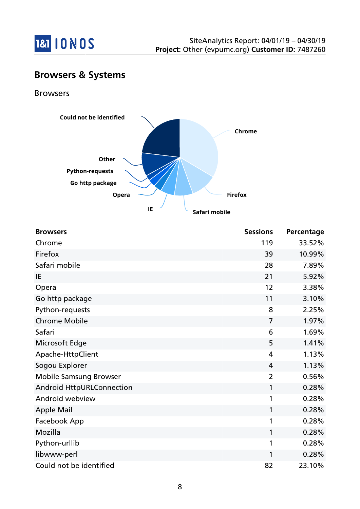

## **Browsers & Systems**

Browsers



| <b>Browsers</b>                  | <b>Sessions</b> | Percentage |
|----------------------------------|-----------------|------------|
| Chrome                           | 119             | 33.52%     |
| Firefox                          | 39              | 10.99%     |
| Safari mobile                    | 28              | 7.89%      |
| IE                               | 21              | 5.92%      |
| Opera                            | 12              | 3.38%      |
| Go http package                  | 11              | 3.10%      |
| Python-requests                  | 8               | 2.25%      |
| <b>Chrome Mobile</b>             | $\overline{7}$  | 1.97%      |
| Safari                           | 6               | 1.69%      |
| Microsoft Edge                   | 5               | 1.41%      |
| Apache-HttpClient                | 4               | 1.13%      |
| Sogou Explorer                   | 4               | 1.13%      |
| <b>Mobile Samsung Browser</b>    | $\overline{2}$  | 0.56%      |
| <b>Android HttpURLConnection</b> | 1               | 0.28%      |
| Android webview                  | 1               | 0.28%      |
| <b>Apple Mail</b>                | 1               | 0.28%      |
| Facebook App                     | 1               | 0.28%      |
| Mozilla                          | 1               | 0.28%      |
| Python-urllib                    | 1               | 0.28%      |
| libwww-perl                      | 1               | 0.28%      |
| Could not be identified          | 82              | 23.10%     |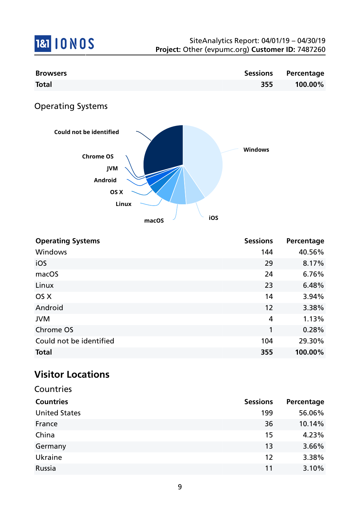

| <b>Browsers</b>                | <b>Sessions</b> | Percentage |
|--------------------------------|-----------------|------------|
| <b>Total</b>                   | 355             | 100.00%    |
| <b>Operating Systems</b>       |                 |            |
| Could not be identified        |                 |            |
| <b>Chrome OS</b><br><b>JVM</b> | <b>Windows</b>  |            |
| Android                        |                 |            |
| OS X                           |                 |            |
| Linux                          |                 |            |
| macOS                          | iOS             |            |

| <b>Operating Systems</b> | <b>Sessions</b> | Percentage |
|--------------------------|-----------------|------------|
| <b>Windows</b>           | 144             | 40.56%     |
| iOS                      | 29              | 8.17%      |
| macOS                    | 24              | 6.76%      |
| Linux                    | 23              | 6.48%      |
| OS X                     | 14              | 3.94%      |
| Android                  | 12              | 3.38%      |
| <b>JVM</b>               | 4               | 1.13%      |
| Chrome OS                | 1               | 0.28%      |
| Could not be identified  | 104             | 29.30%     |
| <b>Total</b>             | 355             | 100.00%    |

# **Visitor Locations**

| Countries            |                 |            |
|----------------------|-----------------|------------|
| <b>Countries</b>     | <b>Sessions</b> | Percentage |
| <b>United States</b> | 199             | 56.06%     |
| France               | 36              | 10.14%     |
| China                | 15              | 4.23%      |
| Germany              | 13              | 3.66%      |
| Ukraine              | 12              | 3.38%      |
| Russia               | 11              | 3.10%      |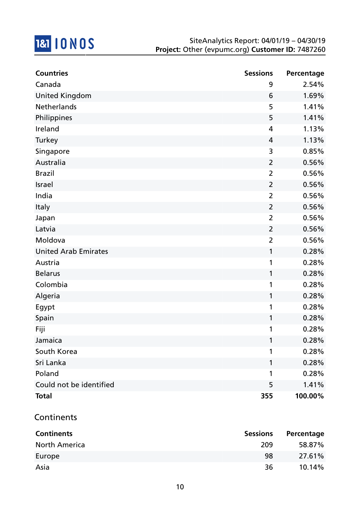

| <b>Countries</b>            | <b>Sessions</b> | Percentage |
|-----------------------------|-----------------|------------|
| Canada                      | 9               | 2.54%      |
| <b>United Kingdom</b>       | 6               | 1.69%      |
| Netherlands                 | 5               | 1.41%      |
| Philippines                 | 5               | 1.41%      |
| Ireland                     | 4               | 1.13%      |
| Turkey                      | 4               | 1.13%      |
| Singapore                   | 3               | 0.85%      |
| Australia                   | $\overline{2}$  | 0.56%      |
| <b>Brazil</b>               | $\overline{2}$  | 0.56%      |
| Israel                      | $\overline{2}$  | 0.56%      |
| India                       | $\overline{2}$  | 0.56%      |
| Italy                       | $\overline{2}$  | 0.56%      |
| Japan                       | $\overline{2}$  | 0.56%      |
| Latvia                      | $\overline{2}$  | 0.56%      |
| Moldova                     | $\overline{2}$  | 0.56%      |
| <b>United Arab Emirates</b> | 1               | 0.28%      |
| Austria                     | 1               | 0.28%      |
| <b>Belarus</b>              | 1               | 0.28%      |
| Colombia                    | 1               | 0.28%      |
| Algeria                     | 1               | 0.28%      |
| Egypt                       | 1               | 0.28%      |
| Spain                       | $\mathbf{1}$    | 0.28%      |
| Fiji                        | 1               | 0.28%      |
| Jamaica                     |                 | 0.28%      |
| South Korea                 | 1               | 0.28%      |
| Sri Lanka                   | 1               | 0.28%      |
| Poland                      | 1               | 0.28%      |
| Could not be identified     | 5               | 1.41%      |
| <b>Total</b>                | 355             | 100.00%    |

#### Continents

| <b>Continents</b>    | <b>Sessions</b> | Percentage |
|----------------------|-----------------|------------|
| <b>North America</b> | 209             | 58.87%     |
| Europe               | 98              | 27.61%     |
| Asia                 | 36              | 10.14%     |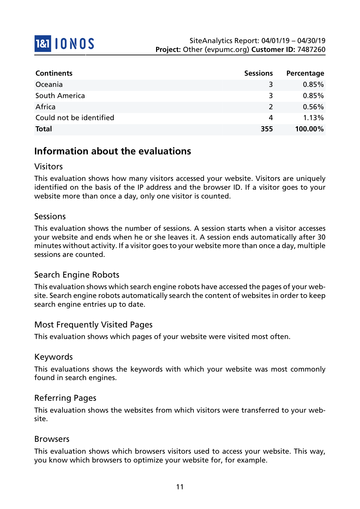

| <b>Continents</b>       | <b>Sessions</b> | Percentage |
|-------------------------|-----------------|------------|
| Oceania                 | 3               | $0.85\%$   |
| South America           | 3               | 0.85%      |
| Africa                  | $\mathcal{L}$   | $0.56\%$   |
| Could not be identified | 4               | 1.13%      |
| <b>Total</b>            | 355             | 100.00%    |

## **Information about the evaluations**

#### Visitors

This evaluation shows how many visitors accessed your website. Visitors are uniquely identified on the basis of the IP address and the browser ID. If a visitor goes to your website more than once a day, only one visitor is counted.

#### Sessions

This evaluation shows the number of sessions. A session starts when a visitor accesses your website and ends when he or she leaves it. A session ends automatically after 30 minutes without activity. If a visitor goes to your website more than once a day, multiple sessions are counted.

#### Search Engine Robots

This evaluation shows which search engine robots have accessed the pages of your website. Search engine robots automatically search the content of websites in order to keep search engine entries up to date.

#### Most Frequently Visited Pages

This evaluation shows which pages of your website were visited most often.

#### Keywords

This evaluations shows the keywords with which your website was most commonly found in search engines.

#### Referring Pages

This evaluation shows the websites from which visitors were transferred to your website.

#### Browsers

This evaluation shows which browsers visitors used to access your website. This way, you know which browsers to optimize your website for, for example.